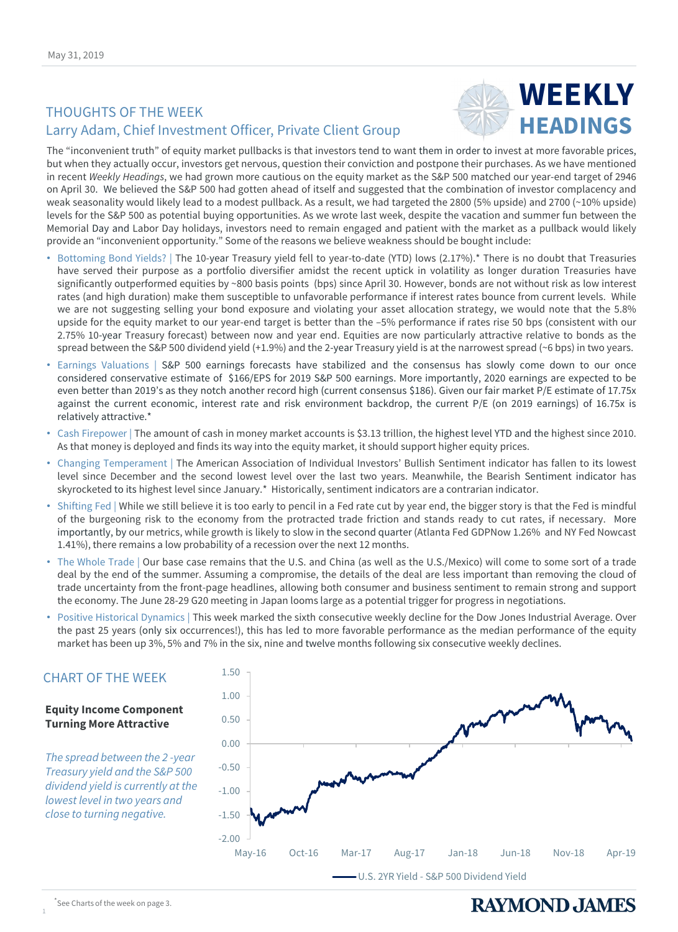# THOUGHTS OF THE WEEK Larry Adam, Chief Investment Officer, Private Client Group



The "inconvenient truth" of equity market pullbacks is that investors tend to want them in order to invest at more favorable prices, but when they actually occur, investors get nervous, question their conviction and postpone their purchases. As we have mentioned in recent *Weekly Headings*, we had grown more cautious on the equity market as the S&P 500 matched our year-end target of 2946 on April 30. We believed the S&P 500 had gotten ahead of itself and suggested that the combination of investor complacency and weak seasonality would likely lead to a modest pullback. As a result, we had targeted the 2800 (5% upside) and 2700 (~10% upside) levels for the S&P 500 as potential buying opportunities. As we wrote last week, despite the vacation and summer fun between the Memorial Day and Labor Day holidays, investors need to remain engaged and patient with the market as a pullback would likely provide an "inconvenient opportunity." Some of the reasons we believe weakness should be bought include:

- Bottoming Bond Yields? | The 10-year Treasury yield fell to year-to-date (YTD) lows (2.17%).\* There is no doubt that Treasuries have served their purpose as a portfolio diversifier amidst the recent uptick in volatility as longer duration Treasuries have significantly outperformed equities by ~800 basis points (bps) since April 30. However, bonds are not without risk as low interest rates (and high duration) make them susceptible to unfavorable performance if interest rates bounce from current levels. While we are not suggesting selling your bond exposure and violating your asset allocation strategy, we would note that the 5.8% upside for the equity market to our year-end target is better than the –5% performance if rates rise 50 bps (consistent with our 2.75% 10-year Treasury forecast) between now and year end. Equities are now particularly attractive relative to bonds as the spread between the S&P 500 dividend yield (+1.9%) and the 2-year Treasury yield is at the narrowest spread (~6 bps) in two years.
- Earnings Valuations | S&P 500 earnings forecasts have stabilized and the consensus has slowly come down to our once considered conservative estimate of \$166/EPS for 2019 S&P 500 earnings. More importantly, 2020 earnings are expected to be even better than 2019's as they notch another record high (current consensus \$186). Given our fair market P/E estimate of 17.75x against the current economic, interest rate and risk environment backdrop, the current P/E (on 2019 earnings) of 16.75x is relatively attractive.\*
- Cash Firepower | The amount of cash in money market accounts is \$3.13 trillion, the highest level YTD and the highest since 2010. As that money is deployed and finds its way into the equity market, it should support higher equity prices.
- Changing Temperament | The American Association of Individual Investors' Bullish Sentiment indicator has fallen to its lowest level since December and the second lowest level over the last two years. Meanwhile, the Bearish Sentiment indicator has skyrocketed to its highest level since January.\* Historically, sentiment indicators are a contrarian indicator.
- Shifting Fed | While we still believe it is too early to pencil in a Fed rate cut by year end, the bigger story is that the Fed is mindful of the burgeoning risk to the economy from the protracted trade friction and stands ready to cut rates, if necessary. More importantly, by our metrics, while growth is likely to slow in the second quarter (Atlanta Fed GDPNow 1.26% and NY Fed Nowcast 1.41%), there remains a low probability of a recession over the next 12 months.
- The Whole Trade | Our base case remains that the U.S. and China (as well as the U.S./Mexico) will come to some sort of a trade deal by the end of the summer. Assuming a compromise, the details of the deal are less important than removing the cloud of trade uncertainty from the front-page headlines, allowing both consumer and business sentiment to remain strong and support the economy. The June 28-29 G20 meeting in Japan looms large as a potential trigger for progress in negotiations.
- Positive Historical Dynamics | This week marked the sixth consecutive weekly decline for the Dow Jones Industrial Average. Over the past 25 years (only six occurrences!), this has led to more favorable performance as the median performance of the equity market has been up 3%, 5% and 7% in the six, nine and twelve months following six consecutive weekly declines.



#### **Equity Income Component Turning More Attractive**

*Treasury yield and the S&P 500 dividend yield is currently at the lowest level in two years and close to turning negative.*

#### \* See Charts of the week on page 3.

1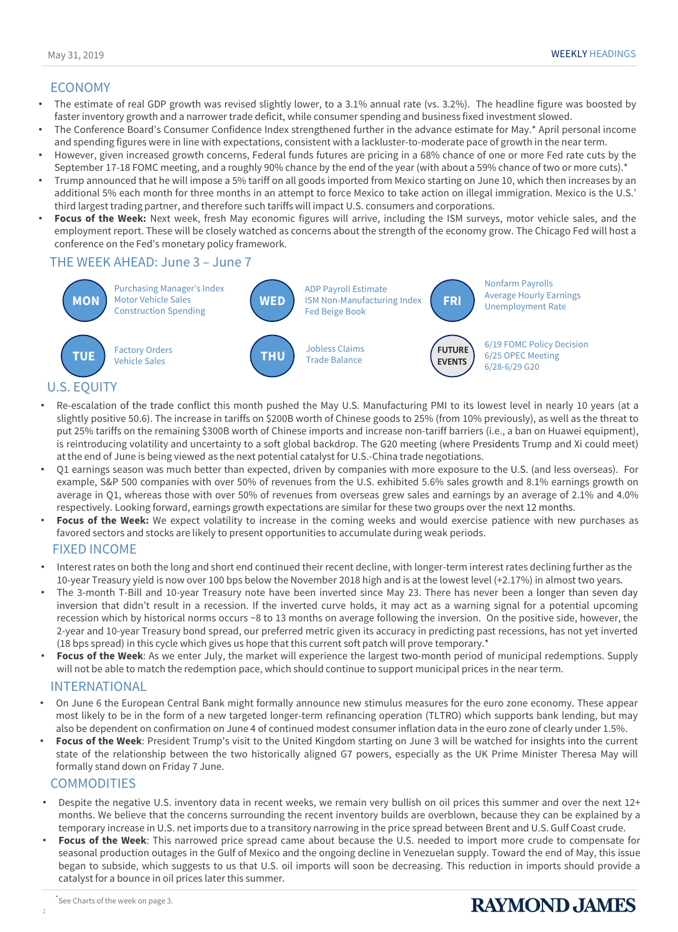## ECONOMY

- The estimate of real GDP growth was revised slightly lower, to a 3.1% annual rate (vs. 3.2%). The headline figure was boosted by faster inventory growth and a narrower trade deficit, while consumer spending and business fixed investment slowed.
- The Conference Board's Consumer Confidence Index strengthened further in the advance estimate for May.\* April personal income and spending figures were in line with expectations, consistent with a lackluster-to-moderate pace of growth in the near term.
- However, given increased growth concerns, Federal funds futures are pricing in a 68% chance of one or more Fed rate cuts by the September 17-18 FOMC meeting, and a roughly 90% chance by the end of the year (with about a 59% chance of two or more cuts).\*
- Trump announced that he will impose a 5% tariff on all goods imported from Mexico starting on June 10, which then increases by an additional 5% each month for three months in an attempt to force Mexico to take action on illegal immigration. Mexico is the U.S.' third largest trading partner, and therefore such tariffs will impact U.S. consumers and corporations.
- **Focus of the Week:** Next week, fresh May economic figures will arrive, including the ISM surveys, motor vehicle sales, and the employment report. These will be closely watched as concerns about the strength of the economy grow. The Chicago Fed will host a conference on the Fed's monetary policy framework.

## THE WEEK AHEAD: June 3 – June 7



- Re-escalation of the trade conflict this month pushed the May U.S. Manufacturing PMI to its lowest level in nearly 10 years (at a slightly positive 50.6). The increase in tariffs on \$200B worth of Chinese goods to 25% (from 10% previously), as well as the threat to put 25% tariffs on the remaining \$300B worth of Chinese imports and increase non-tariff barriers (i.e., a ban on Huawei equipment), is reintroducing volatility and uncertainty to a soft global backdrop. The G20 meeting (where Presidents Trump and Xi could meet) at the end of June is being viewed as the next potential catalyst for U.S.-China trade negotiations.
- Q1 earnings season was much better than expected, driven by companies with more exposure to the U.S. (and less overseas). For example, S&P 500 companies with over 50% of revenues from the U.S. exhibited 5.6% sales growth and 8.1% earnings growth on average in Q1, whereas those with over 50% of revenues from overseas grew sales and earnings by an average of 2.1% and 4.0% respectively. Looking forward, earnings growth expectations are similar for these two groups over the next 12 months.
- **Focus of the Week:** We expect volatility to increase in the coming weeks and would exercise patience with new purchases as favored sectors and stocks are likely to present opportunities to accumulate during weak periods.

### FIXED INCOME

- Interest rates on both the long and short end continued their recent decline, with longer-term interest rates declining further as the 10-year Treasury yield is now over 100 bps below the November 2018 high and is at the lowest level (+2.17%) in almost two years.
- The 3-month T-Bill and 10-year Treasury note have been inverted since May 23. There has never been a longer than seven day inversion that didn't result in a recession. If the inverted curve holds, it may act as a warning signal for a potential upcoming recession which by historical norms occurs ~8 to 13 months on average following the inversion. On the positive side, however, the 2-year and 10-year Treasury bond spread, our preferred metric given its accuracy in predicting past recessions, has not yet inverted (18 bps spread) in this cycle which gives us hope that this current soft patch will prove temporary.\*
- **Focus of the Week**: As we enter July, the market will experience the largest two-month period of municipal redemptions. Supply will not be able to match the redemption pace, which should continue to support municipal prices in the near term.

### INTERNATIONAL

- On June 6 the European Central Bank might formally announce new stimulus measures for the euro zone economy. These appear most likely to be in the form of a new targeted longer-term refinancing operation (TLTRO) which supports bank lending, but may also be dependent on confirmation on June 4 of continued modest consumer inflation data in the euro zone of clearly under 1.5%.
- **Focus of the Week**: President Trump's visit to the United Kingdom starting on June 3 will be watched for insights into the current state of the relationship between the two historically aligned G7 powers, especially as the UK Prime Minister Theresa May will formally stand down on Friday 7 June.

### **COMMODITIES**

- Despite the negative U.S. inventory data in recent weeks, we remain very bullish on oil prices this summer and over the next 12+ months. We believe that the concerns surrounding the recent inventory builds are overblown, because they can be explained by a temporary increase in U.S. net imports due to a transitory narrowing in the price spread between Brent and U.S. Gulf Coast crude.
- **Focus of the Week**: This narrowed price spread came about because the U.S. needed to import more crude to compensate for seasonal production outages in the Gulf of Mexico and the ongoing decline in Venezuelan supply. Toward the end of May, this issue began to subside, which suggests to us that U.S. oil imports will soon be decreasing. This reduction in imports should provide a catalyst for a bounce in oil prices later this summer.

2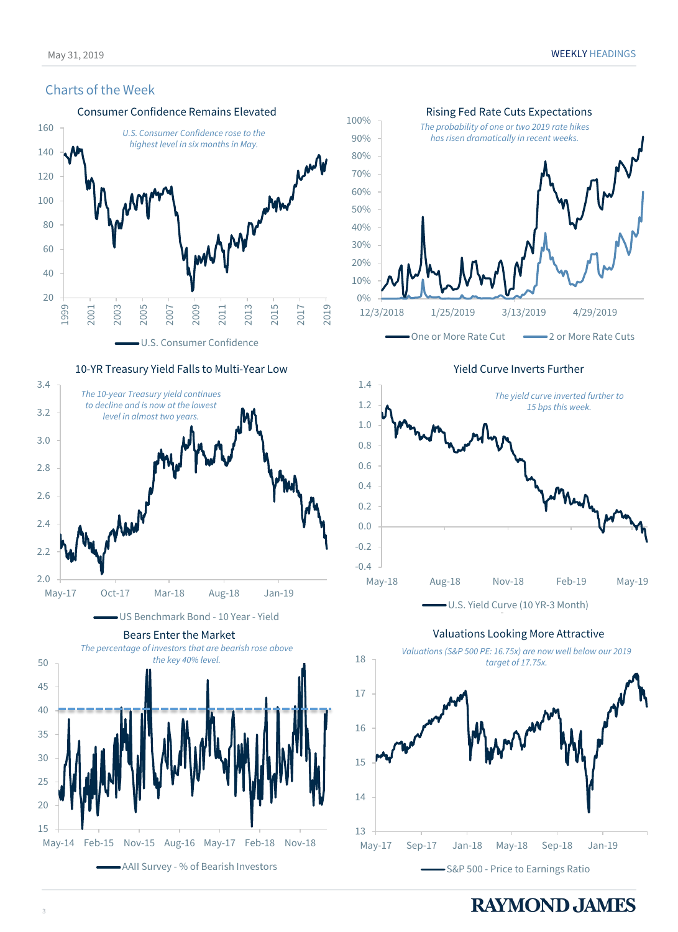### Charts of the Week



May-14 Feb-15 Nov-15 Aug-16 May-17 Feb-18 Nov-18

AAII Survey - % of Bearish Investors



May-17 Sep-17 Jan-18 May-18 Sep-18 Jan-19

One or More Rate Cut  $\longrightarrow$  2 or More Rate Cuts

Yield Curve Inverts Further



Valuations Looking More Attractive

*target of 17.75x.*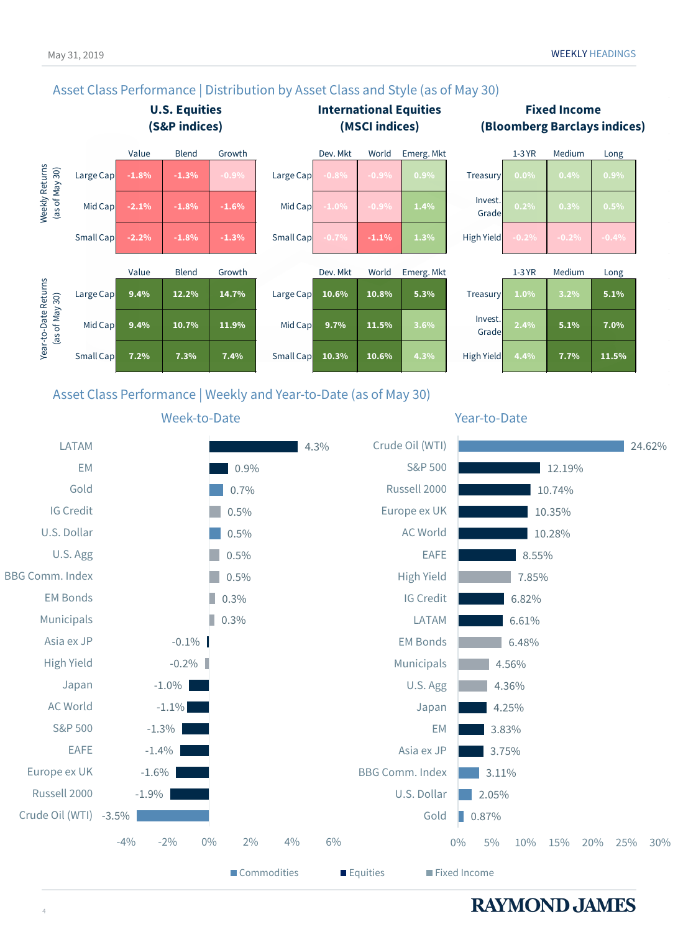# Asset Class Performance | Distribution by Asset Class and Style (as of May 30)



## Asset Class Performance | Weekly and Year-to-Date (as of May 30)

#### LATAM  $14.3%$ Crude Oil (WTI) 24.62% EM S&P 500 0.9% 12.19% Gold Russell 2000 0.7% 10.74% IG Credit 0.5% Europe ex UK 10.35% U.S. Dollar 0.5% AC World 10.28% EAFE U.S. Agg T. 0.5% 8.55% BBG Comm. Index 0.5% High Yield 7.85% m. EM Bonds IG Credit ш 0.3% 6.82% Municipals П LATAM 0.3% 6.61% Asia ex JP  $-0.1\%$ EM Bonds  $6.48%$ High Yield Municipals  $-0.2\%$ 4.56% Japan -1.0% U.S. Agg 4.36% AC World -1.1% Japan 4.25% S&P 500 EM -1.3% 3.83% EAFE -1.4% Asia ex JP 3.75% Europe ex UK -1.6% BBG Comm. Index 3.11% Russell 2000 -1.9% U.S. Dollar 2.05% Crude Oil (WTI) -3.5% Gold  $\Box$  0.87% -4% -2% 0% 2% 4% 6% 0% 5% 10% 15% 20% 25% 30%

■ Commodities ■ Equities ■ Fixed Income

# **Fixed Income (Bloomberg Barclays indices)**

Week-to-Date **Week-to-Date**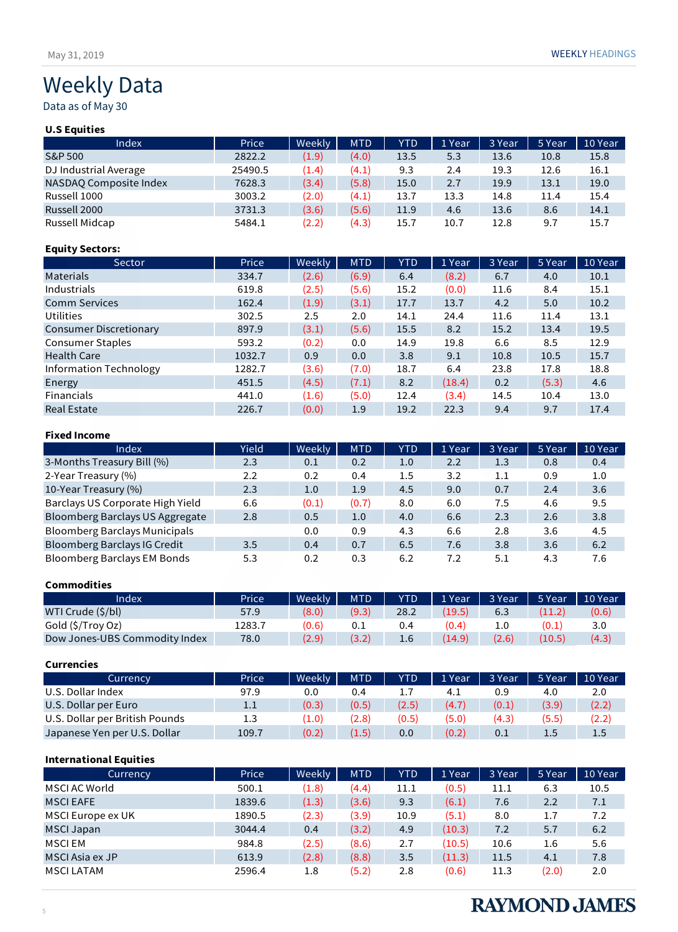Data as of May 30

## **U.S Equities**

| Index                  | Price   | Weekly | <b>MTD</b> | <b>YTD</b> | 1 Year | 3 Year | 5 Year | 10 Year |
|------------------------|---------|--------|------------|------------|--------|--------|--------|---------|
| S&P 500                | 2822.2  | (1.9)  | (4.0)      | 13.5       | 5.3    | 13.6   | 10.8   | 15.8    |
| DJ Industrial Average  | 25490.5 | (1.4)  | (4.1)      | 9.3        | 2.4    | 19.3   | 12.6   | 16.1    |
| NASDAQ Composite Index | 7628.3  | (3.4)  | (5.8)      | 15.0       | 2.7    | 19.9   | 13.1   | 19.0    |
| Russell 1000           | 3003.2  | (2.0)  | (4.1)      | 13.7       | 13.3   | 14.8   | 11.4   | 15.4    |
| Russell 2000           | 3731.3  | (3.6)  | (5.6)      | 11.9       | 4.6    | 13.6   | 8.6    | 14.1    |
| Russell Midcap         | 5484.1  | (2.2)  | (4.3)      | 15.7       | 10.7   | 12.8   | 9.7    | 15.7    |

### **Equity Sectors:**

| Sector                        | Price  | Weekly | <b>MTD</b> | <b>YTD</b> | 1 Year | 3 Year | 5 Year | 10 Year |
|-------------------------------|--------|--------|------------|------------|--------|--------|--------|---------|
| <b>Materials</b>              | 334.7  | (2.6)  | (6.9)      | 6.4        | (8.2)  | 6.7    | 4.0    | 10.1    |
| Industrials                   | 619.8  | (2.5)  | (5.6)      | 15.2       | (0.0)  | 11.6   | 8.4    | 15.1    |
| <b>Comm Services</b>          | 162.4  | (1.9)  | (3.1)      | 17.7       | 13.7   | 4.2    | 5.0    | 10.2    |
| <b>Utilities</b>              | 302.5  | 2.5    | 2.0        | 14.1       | 24.4   | 11.6   | 11.4   | 13.1    |
| <b>Consumer Discretionary</b> | 897.9  | (3.1)  | (5.6)      | 15.5       | 8.2    | 15.2   | 13.4   | 19.5    |
| <b>Consumer Staples</b>       | 593.2  | (0.2)  | 0.0        | 14.9       | 19.8   | 6.6    | 8.5    | 12.9    |
| <b>Health Care</b>            | 1032.7 | 0.9    | 0.0        | 3.8        | 9.1    | 10.8   | 10.5   | 15.7    |
| Information Technology        | 1282.7 | (3.6)  | (7.0)      | 18.7       | 6.4    | 23.8   | 17.8   | 18.8    |
| Energy                        | 451.5  | (4.5)  | (7.1)      | 8.2        | (18.4) | 0.2    | (5.3)  | 4.6     |
| <b>Financials</b>             | 441.0  | (1.6)  | (5.0)      | 12.4       | (3.4)  | 14.5   | 10.4   | 13.0    |
| <b>Real Estate</b>            | 226.7  | (0.0)  | 1.9        | 19.2       | 22.3   | 9.4    | 9.7    | 17.4    |

### **Fixed Income**

| Index                                  | Yield | Weekly | <b>MTD</b> | YTD | 1 Year | 3 Year | 5 Year | 10 Year |
|----------------------------------------|-------|--------|------------|-----|--------|--------|--------|---------|
| 3-Months Treasury Bill (%)             | 2.3   | 0.1    | 0.2        | 1.0 | 2.2    | 1.3    | 0.8    | 0.4     |
| 2-Year Treasury (%)                    | 2.2   | 0.2    | 0.4        | 1.5 | 3.2    | 1.1    | 0.9    | 1.0     |
| 10-Year Treasury (%)                   | 2.3   | 1.0    | 1.9        | 4.5 | 9.0    | 0.7    | 2.4    | 3.6     |
| Barclays US Corporate High Yield       | 6.6   | (0.1)  | (0.7)      | 8.0 | 6.0    | 7.5    | 4.6    | 9.5     |
| <b>Bloomberg Barclays US Aggregate</b> | 2.8   | 0.5    | 1.0        | 4.0 | 6.6    | 2.3    | 2.6    | 3.8     |
| <b>Bloomberg Barclays Municipals</b>   |       | 0.0    | 0.9        | 4.3 | 6.6    | 2.8    | 3.6    | 4.5     |
| Bloomberg Barclays IG Credit           | 3.5   | 0.4    | 0.7        | 6.5 | 7.6    | 3.8    | 3.6    | 6.2     |
| <b>Bloomberg Barclays EM Bonds</b>     | 5.3   | 0.2    | 0.3        | 6.2 | 7.2    | 5.1    | 4.3    | 7.6     |

#### **Commodities**

| Index                         | Price  | Weekly | <b>MTD</b> | YTD  | 1 Year | 3 Year | 5 Year | 10 Year |
|-------------------------------|--------|--------|------------|------|--------|--------|--------|---------|
| WTI Crude (\$/bl)             | 57.9   | (8.0)  | (9.3)      | 28.2 | (19.5) | 6.3    | (11.2) | (0.6)   |
| Gold (\$/Troy Oz)             | 1283.7 | (0.6)  | 0.1        | 0.4  | (0.4)  |        | (0.1)  | 3.0     |
| Dow Jones-UBS Commodity Index | 78.0   | (2.9)  | (3.2)      | 1.6  | (14.9) | (2.6)  | (10.5) | (4.3)   |

# **Currencies**

| Currency                       | Price | Weekly | <b>MTD</b> | <b>YTD</b> | 1 Year | 3 Year | 5 Year | 10 Year          |
|--------------------------------|-------|--------|------------|------------|--------|--------|--------|------------------|
| U.S. Dollar Index              | 97.9  | 0.0    | 0.4        |            | 4.1    |        | 4.0    | 2.0              |
| U.S. Dollar per Euro           | 1.1   | (0.3)  | (0.5)      | (2.5)      | (4.7)  | (0.1)  | (3.9)  | (2.2)            |
| U.S. Dollar per British Pounds | 1.3   | (1.0)  | (2.8)      | (0.5)      | (5.0)  | (4.3)  | (5.5)  | (2.2)            |
| Japanese Yen per U.S. Dollar   | 109.7 | (0.2)  | (1.5)      | 0.0        | (0.2)  | 0.1    | 1.5    | 1.5 <sub>1</sub> |

## **International Equities**

| Currency          | Price  | Weekly | <b>MTD</b> | YTD  | 1 Year | 3 Year | 5 Year        | 10 Year |
|-------------------|--------|--------|------------|------|--------|--------|---------------|---------|
| MSCI AC World     | 500.1  | (1.8)  | (4.4)      | 11.1 | (0.5)  | 11.1   | 6.3           | 10.5    |
| <b>MSCIEAFE</b>   | 1839.6 | (1.3)  | (3.6)      | 9.3  | (6.1)  | 7.6    | $2.2^{\circ}$ | 7.1     |
| MSCI Europe ex UK | 1890.5 | (2.3)  | (3.9)      | 10.9 | (5.1)  | 8.0    | 1.7           | 7.2     |
| <b>MSCI Japan</b> | 3044.4 | 0.4    | (3.2)      | 4.9  | (10.3) | 7.2    | 5.7           | 6.2     |
| <b>MSCIEM</b>     | 984.8  | (2.5)  | (8.6)      | 2.7  | (10.5) | 10.6   | 1.6           | 5.6     |
| MSCI Asia ex JP   | 613.9  | (2.8)  | (8.8)      | 3.5  | (11.3) | 11.5   | 4.1           | 7.8     |
| <b>MSCILATAM</b>  | 2596.4 | 1.8    | (5.2)      | 2.8  | (0.6)  | 11.3   | (2.0)         | 2.0     |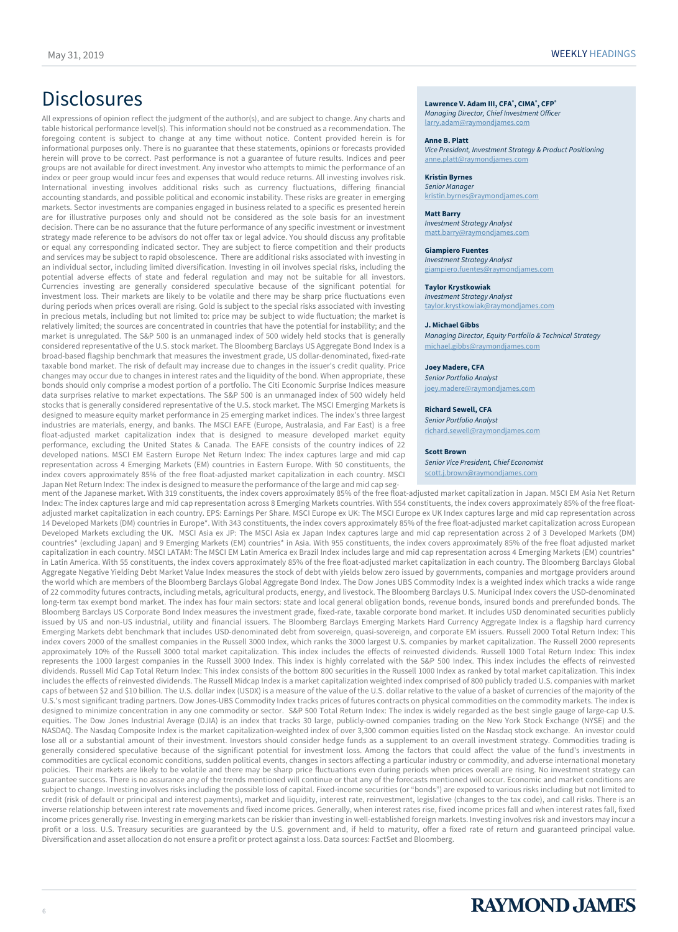# **Disclosures**

All expressions of opinion reflect the judgment of the author(s), and are subject to change. Any charts and table historical performance level(s). This information should not be construed as a recommendation. The foregoing content is subject to change at any time without notice. Content provided herein is for informational purposes only. There is no guarantee that these statements, opinions or forecasts provided herein will prove to be correct. Past performance is not a guarantee of future results. Indices and peer groups are not available for direct investment. Any investor who attempts to mimic the performance of an index or peer group would incur fees and expenses that would reduce returns. All investing involves risk. International investing involves additional risks such as currency fluctuations, differing financial accounting standards, and possible political and economic instability. These risks are greater in emerging markets. Sector investments are companies engaged in business related to a specific es presented herein are for illustrative purposes only and should not be considered as the sole basis for an investment decision. There can be no assurance that the future performance of any specific investment or investment strategy made reference to be advisors do not offer tax or legal advice. You should discuss any profitable or equal any corresponding indicated sector. They are subject to fierce competition and their products and services may be subject to rapid obsolescence. There are additional risks associated with investing in an individual sector, including limited diversification. Investing in oil involves special risks, including the potential adverse effects of state and federal regulation and may not be suitable for all investors. Currencies investing are generally considered speculative because of the significant potential for investment loss. Their markets are likely to be volatile and there may be sharp price fluctuations even during periods when prices overall are rising. Gold is subject to the special risks associated with investing in precious metals, including but not limited to: price may be subject to wide fluctuation; the market is relatively limited; the sources are concentrated in countries that have the potential for instability; and the market is unregulated. The S&P 500 is an unmanaged index of 500 widely held stocks that is generally considered representative of the U.S. stock market. The Bloomberg Barclays US Aggregate Bond Index is a broad-based flagship benchmark that measures the investment grade, US dollar-denominated, fixed-rate taxable bond market. The risk of default may increase due to changes in the issuer's credit quality. Price changes may occur due to changes in interest rates and the liquidity of the bond. When appropriate, these bonds should only comprise a modest portion of a portfolio. The Citi Economic Surprise Indices measure data surprises relative to market expectations. The S&P 500 is an unmanaged index of 500 widely held stocks that is generally considered representative of the U.S. stock market. The MSCI Emerging Markets is designed to measure equity market performance in 25 emerging market indices. The index's three largest industries are materials, energy, and banks. The MSCI EAFE (Europe, Australasia, and Far East) is a free float-adjusted market capitalization index that is designed to measure developed market equity performance, excluding the United States & Canada. The EAFE consists of the country indices of 22 developed nations. MSCI EM Eastern Europe Net Return Index: The index captures large and mid cap representation across 4 Emerging Markets (EM) countries in Eastern Europe. With 50 constituents, the index covers approximately 85% of the free float-adjusted market capitalization in each country. MSCI Japan Net Return Index: The index is designed to measure the performance of the large and mid cap seg**, CIMA® , CFP®**

*Managing Director, Chief Investment Officer* [larry.adam@raymondjames.com](mailto:larry.adam@raymondjames.com)

#### **Anne B. Platt**

*Vice President, Investment Strategy & Product Positioning* [anne.platt@raymondjames.com](mailto:anne.platt@raymondjames.com)

#### **Kristin Byrnes**

*Senior Manager* kristin.byrnes@raymondjames.com

#### **Matt Barry**

*Investment Strategy Analyst* [matt.barry@raymondjames.com](mailto:matt.barry@raymondjames.com)

#### **Giampiero Fuentes**

*Investment Strategy Analyst* [giampiero.fuentes@raymondjames.com](mailto:giampiero.fuentes@raymondjames.com)

#### **Taylor Krystkowiak**

*Investment Strategy Analyst* [taylor.krystkowiak@raymondjames.com](mailto:taylor.krystkowiak@raymondjames.com)

#### **J. Michael Gibbs**

*Managing Director, Equity Portfolio & Technical Strategy* [michael.gibbs@raymondjames.com](mailto:michael.gibbs@raymondjames.com)

#### **Joey Madere, CFA**

*Senior Portfolio Analyst* [joey.madere@raymondjames.com](mailto:joey.madere@raymondjames.com)

#### **Richard Sewell, CFA**

*Senior Portfolio Analyst* [richard.sewell@raymondjames.com](mailto:richard.sewell@raymondjames.com)

#### **Scott Brown**

*Senior Vice President, Chief Economist* [scott.j.brown@raymondjames.com](mailto:scott.j.brown@raymondjames.com)

ment of the Japanese market. With 319 constituents, the index covers approximately 85% of the free float-adjusted market capitalization in Japan. MSCI EM Asia Net Return Index: The index captures large and mid cap representation across 8 Emerging Markets countries. With 554 constituents, the index covers approximately 85% of the free floatadjusted market capitalization in each country. EPS: Earnings Per Share. MSCI Europe ex UK: The MSCI Europe ex UK Index captures large and mid cap representation across 14 Developed Markets (DM) countries in Europe\*. With 343 constituents, the index covers approximately 85% of the free float-adjusted market capitalization across European Developed Markets excluding the UK. MSCI Asia ex JP: The MSCI Asia ex Japan Index captures large and mid cap representation across 2 of 3 Developed Markets (DM) countries\* (excluding Japan) and 9 Emerging Markets (EM) countries\* in Asia. With 955 constituents, the index covers approximately 85% of the free float adjusted market capitalization in each country. MSCI LATAM: The MSCI EM Latin America ex Brazil Index includes large and mid cap representation across 4 Emerging Markets (EM) countries\* in Latin America. With 55 constituents, the index covers approximately 85% of the free float-adjusted market capitalization in each country. The Bloomberg Barclays Global Aggregate Negative Yielding Debt Market Value Index measures the stock of debt with yields below zero issued by governments, companies and mortgage providers around the world which are members of the Bloomberg Barclays Global Aggregate Bond Index. The Dow Jones UBS Commodity Index is a weighted index which tracks a wide range of 22 commodity futures contracts, including metals, agricultural products, energy, and livestock. The Bloomberg Barclays U.S. Municipal Index covers the USD-denominated long-term tax exempt bond market. The index has four main sectors: state and local general obligation bonds, revenue bonds, insured bonds and prerefunded bonds. The Bloomberg Barclays US Corporate Bond Index measures the investment grade, fixed-rate, taxable corporate bond market. It includes USD denominated securities publicly issued by US and non-US industrial, utility and financial issuers. The Bloomberg Barclays Emerging Markets Hard Currency Aggregate Index is a flagship hard currency Emerging Markets debt benchmark that includes USD-denominated debt from sovereign, quasi-sovereign, and corporate EM issuers. Russell 2000 Total Return Index: This index covers 2000 of the smallest companies in the Russell 3000 Index, which ranks the 3000 largest U.S. companies by market capitalization. The Russell 2000 represents approximately 10% of the Russell 3000 total market capitalization. This index includes the effects of reinvested dividends. Russell 1000 Total Return Index: This index represents the 1000 largest companies in the Russell 3000 Index. This index is highly correlated with the S&P 500 Index. This index includes the effects of reinvested dividends. Russell Mid Cap Total Return Index: This index consists of the bottom 800 securities in the Russell 1000 Index as ranked by total market capitalization. This index includes the effects of reinvested dividends. The Russell Midcap Index is a market capitalization weighted index comprised of 800 publicly traded U.S. companies with market caps of between \$2 and \$10 billion. The U.S. dollar index (USDX) is a measure of the value of the U.S. dollar relative to the value of a basket of currencies of the majority of the U.S.'s most significant trading partners. Dow Jones-UBS Commodity Index tracks prices of futures contracts on physical commodities on the commodity markets. The index is designed to minimize concentration in any one commodity or sector. S&P 500 Total Return Index: The index is widely regarded as the best single gauge of large-cap U.S. equities. The Dow Jones Industrial Average (DJIA) is an index that tracks 30 large, publicly-owned companies trading on the New York Stock Exchange (NYSE) and the NASDAQ. The Nasdaq Composite Index is the market capitalization-weighted index of over 3,300 common equities listed on the Nasdaq stock exchange. An investor could lose all or a substantial amount of their investment. Investors should consider hedge funds as a supplement to an overall investment strategy. Commodities trading is generally considered speculative because of the significant potential for investment loss. Among the factors that could affect the value of the fund's investments in commodities are cyclical economic conditions, sudden political events, changes in sectors affecting a particular industry or commodity, and adverse international monetary policies. Their markets are likely to be volatile and there may be sharp price fluctuations even during periods when prices overall are rising. No investment strategy can guarantee success. There is no assurance any of the trends mentioned will continue or that any of the forecasts mentioned will occur. Economic and market conditions are subject to change. Investing involves risks including the possible loss of capital. Fixed-income securities (or "bonds") are exposed to various risks including but not limited to credit (risk of default or principal and interest payments), market and liquidity, interest rate, reinvestment, legislative (changes to the tax code), and call risks. There is an inverse relationship between interest rate movements and fixed income prices. Generally, when interest rates rise, fixed income prices fall and when interest rates fall, fixed income prices generally rise. Investing in emerging markets can be riskier than investing in well-established foreign markets. Investing involves risk and investors may incur a profit or a loss. U.S. Treasury securities are guaranteed by the U.S. government and, if held to maturity, offer a fixed rate of return and guaranteed principal value. Diversification and asset allocation do not ensure a profit or protect against a loss. Data sources: FactSet and Bloomberg.